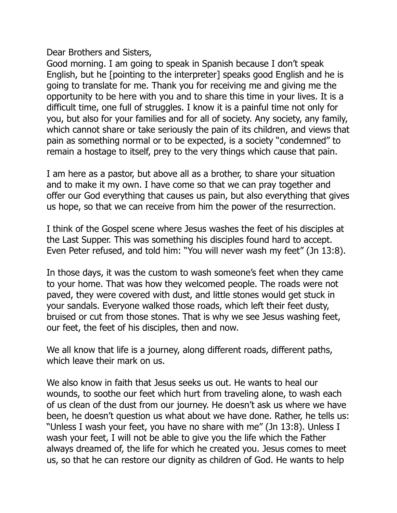Dear Brothers and Sisters,

Good morning. I am going to speak in Spanish because I don't speak English, but he [pointing to the interpreter] speaks good English and he is going to translate for me. Thank you for receiving me and giving me the opportunity to be here with you and to share this time in your lives. It is a difficult time, one full of struggles. I know it is a painful time not only for you, but also for your families and for all of society. Any society, any family, which cannot share or take seriously the pain of its children, and views that pain as something normal or to be expected, is a society "condemned" to remain a hostage to itself, prey to the very things which cause that pain.

I am here as a pastor, but above all as a brother, to share your situation and to make it my own. I have come so that we can pray together and offer our God everything that causes us pain, but also everything that gives us hope, so that we can receive from him the power of the resurrection.

I think of the Gospel scene where Jesus washes the feet of his disciples at the Last Supper. This was something his disciples found hard to accept. Even Peter refused, and told him: "You will never wash my feet" (Jn 13:8).

In those days, it was the custom to wash someone's feet when they came to your home. That was how they welcomed people. The roads were not paved, they were covered with dust, and little stones would get stuck in your sandals. Everyone walked those roads, which left their feet dusty, bruised or cut from those stones. That is why we see Jesus washing feet, our feet, the feet of his disciples, then and now.

We all know that life is a journey, along different roads, different paths, which leave their mark on us.

We also know in faith that Jesus seeks us out. He wants to heal our wounds, to soothe our feet which hurt from traveling alone, to wash each of us clean of the dust from our journey. He doesn't ask us where we have been, he doesn't question us what about we have done. Rather, he tells us: "Unless I wash your feet, you have no share with me" (Jn 13:8). Unless I wash your feet, I will not be able to give you the life which the Father always dreamed of, the life for which he created you. Jesus comes to meet us, so that he can restore our dignity as children of God. He wants to help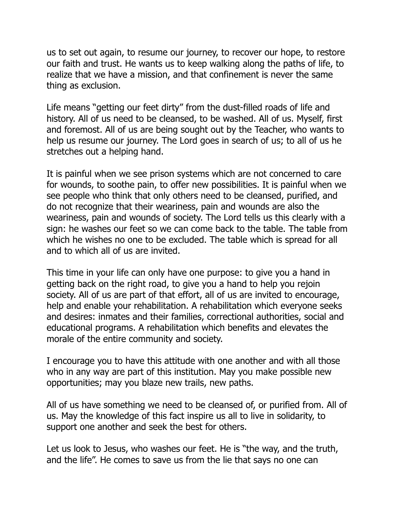us to set out again, to resume our journey, to recover our hope, to restore our faith and trust. He wants us to keep walking along the paths of life, to realize that we have a mission, and that confinement is never the same thing as exclusion.

Life means "getting our feet dirty" from the dust-filled roads of life and history. All of us need to be cleansed, to be washed. All of us. Myself, first and foremost. All of us are being sought out by the Teacher, who wants to help us resume our journey. The Lord goes in search of us; to all of us he stretches out a helping hand.

It is painful when we see prison systems which are not concerned to care for wounds, to soothe pain, to offer new possibilities. It is painful when we see people who think that only others need to be cleansed, purified, and do not recognize that their weariness, pain and wounds are also the weariness, pain and wounds of society. The Lord tells us this clearly with a sign: he washes our feet so we can come back to the table. The table from which he wishes no one to be excluded. The table which is spread for all and to which all of us are invited.

This time in your life can only have one purpose: to give you a hand in getting back on the right road, to give you a hand to help you rejoin society. All of us are part of that effort, all of us are invited to encourage, help and enable your rehabilitation. A rehabilitation which everyone seeks and desires: inmates and their families, correctional authorities, social and educational programs. A rehabilitation which benefits and elevates the morale of the entire community and society.

I encourage you to have this attitude with one another and with all those who in any way are part of this institution. May you make possible new opportunities; may you blaze new trails, new paths.

All of us have something we need to be cleansed of, or purified from. All of us. May the knowledge of this fact inspire us all to live in solidarity, to support one another and seek the best for others.

Let us look to Jesus, who washes our feet. He is "the way, and the truth, and the life". He comes to save us from the lie that says no one can